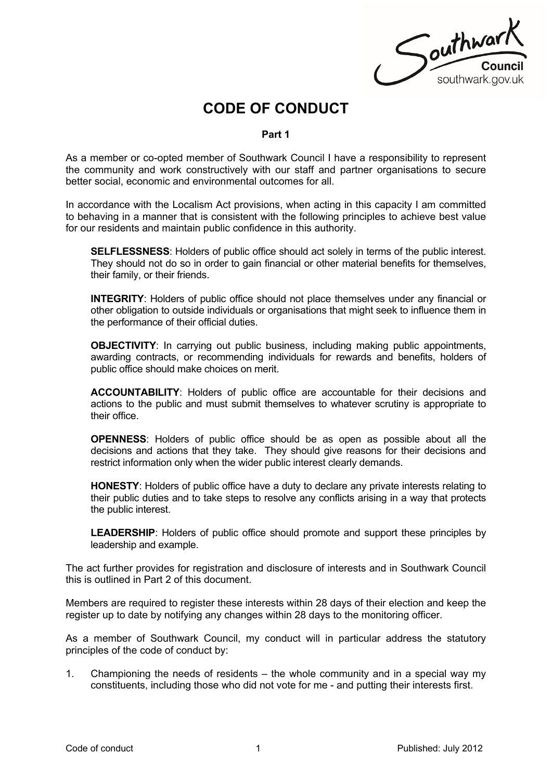Southwart southwark.gov.uk

# **CODE OF CONDUCT**

### **Part 1**

As a member or co-opted member of Southwark Council I have a responsibility to represent the community and work constructively with our staff and partner organisations to secure better social, economic and environmental outcomes for all.

In accordance with the Localism Act provisions, when acting in this capacity I am committed to behaving in a manner that is consistent with the following principles to achieve best value for our residents and maintain public confidence in this authority.

**SELFLESSNESS**: Holders of public office should act solely in terms of the public interest. They should not do so in order to gain financial or other material benefits for themselves, their family, or their friends.

**INTEGRITY:** Holders of public office should not place themselves under any financial or other obligation to outside individuals or organisations that might seek to influence them in the performance of their official duties.

**OBJECTIVITY:** In carrying out public business, including making public appointments, awarding contracts, or recommending individuals for rewards and benefits, holders of public office should make choices on merit.

**ACCOUNTABILITY**: Holders of public office are accountable for their decisions and actions to the public and must submit themselves to whatever scrutiny is appropriate to their office.

**OPENNESS**: Holders of public office should be as open as possible about all the decisions and actions that they take. They should give reasons for their decisions and restrict information only when the wider public interest clearly demands.

**HONESTY**: Holders of public office have a duty to declare any private interests relating to their public duties and to take steps to resolve any conflicts arising in a way that protects the public interest.

**LEADERSHIP**: Holders of public office should promote and support these principles by leadership and example.

The act further provides for registration and disclosure of interests and in Southwark Council this is outlined in Part 2 of this document.

Members are required to register these interests within 28 days of their election and keep the register up to date by notifying any changes within 28 days to the monitoring officer.

As a member of Southwark Council, my conduct will in particular address the statutory principles of the code of conduct by:

1. Championing the needs of residents – the whole community and in a special way my constituents, including those who did not vote for me - and putting their interests first.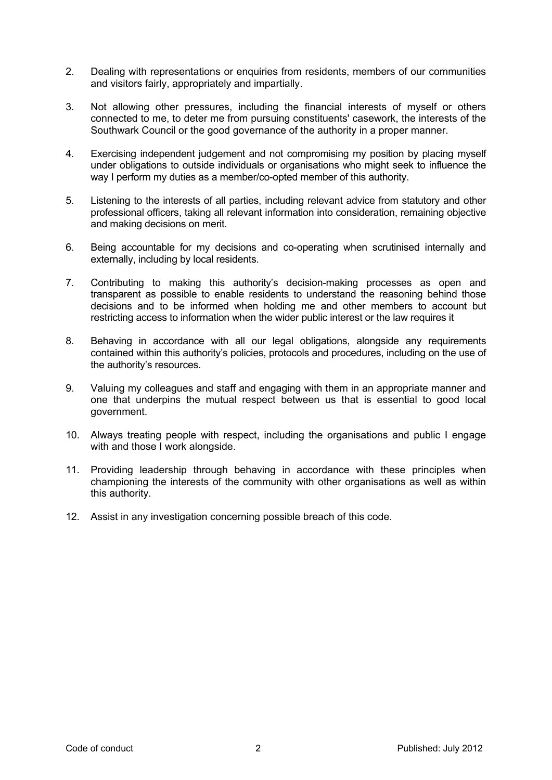- 2. Dealing with representations or enquiries from residents, members of our communities and visitors fairly, appropriately and impartially.
- 3. Not allowing other pressures, including the financial interests of myself or others connected to me, to deter me from pursuing constituents' casework, the interests of the Southwark Council or the good governance of the authority in a proper manner.
- 4. Exercising independent judgement and not compromising my position by placing myself under obligations to outside individuals or organisations who might seek to influence the way I perform my duties as a member/co-opted member of this authority.
- 5. Listening to the interests of all parties, including relevant advice from statutory and other professional officers, taking all relevant information into consideration, remaining objective and making decisions on merit.
- 6. Being accountable for my decisions and co-operating when scrutinised internally and externally, including by local residents.
- 7. Contributing to making this authority's decision-making processes as open and transparent as possible to enable residents to understand the reasoning behind those decisions and to be informed when holding me and other members to account but restricting access to information when the wider public interest or the law requires it
- 8. Behaving in accordance with all our legal obligations, alongside any requirements contained within this authority's policies, protocols and procedures, including on the use of the authority's resources.
- 9. Valuing my colleagues and staff and engaging with them in an appropriate manner and one that underpins the mutual respect between us that is essential to good local government.
- 10. Always treating people with respect, including the organisations and public I engage with and those I work alongside.
- 11. Providing leadership through behaving in accordance with these principles when championing the interests of the community with other organisations as well as within this authority.
- 12. Assist in any investigation concerning possible breach of this code.